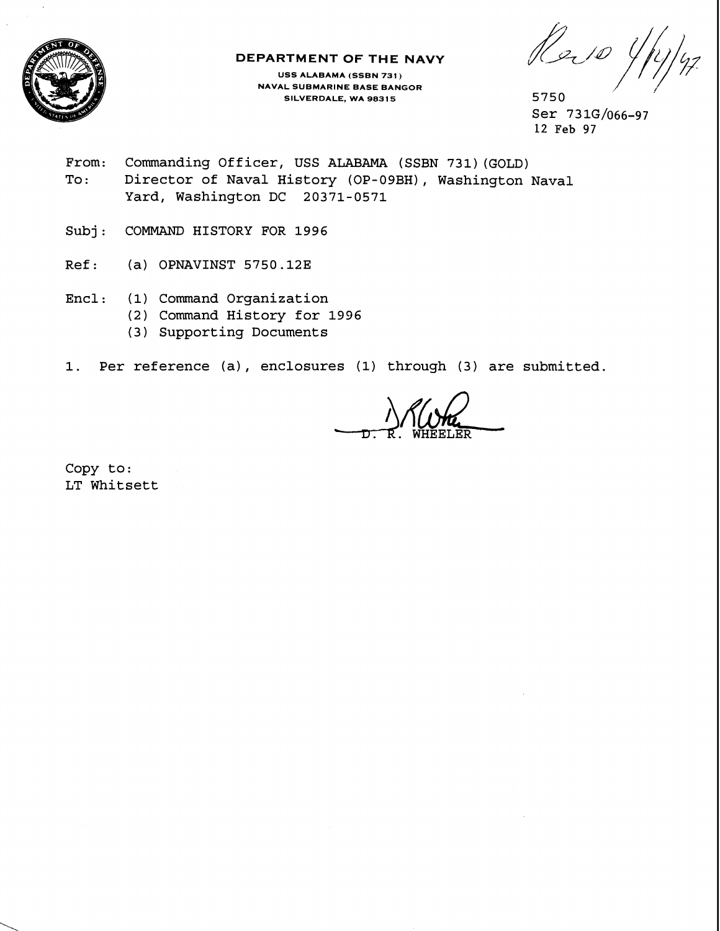

## **DEPARTMENT OF THE NAVY**

**USS ALABAMA (SSBN 731** ) **NAVAL SUBMARINE BASE BANGOR SILVERDALE, WA 98315** 5750

Re. 10 4

Ser 73 1G/o66-97 12 Feb 97

- From: Commanding Officer, USS ALABAMA (SSBN 731) (GOLD) To: Director of Naval History (OP-09BH), Washington Naval Yard, Washington DC 20371-0571
- Subj: COMMAND HISTORY FOR 1996
- Ref: (a) OPNAVINST 5750.12E
- Encl: (1) Command Organization
	- (2) Command History for 1996
	- (3) Supporting Documents
- 1. Per reference (a), enclosures (1) through (3) are submitted.

Copy to: LT Whitsett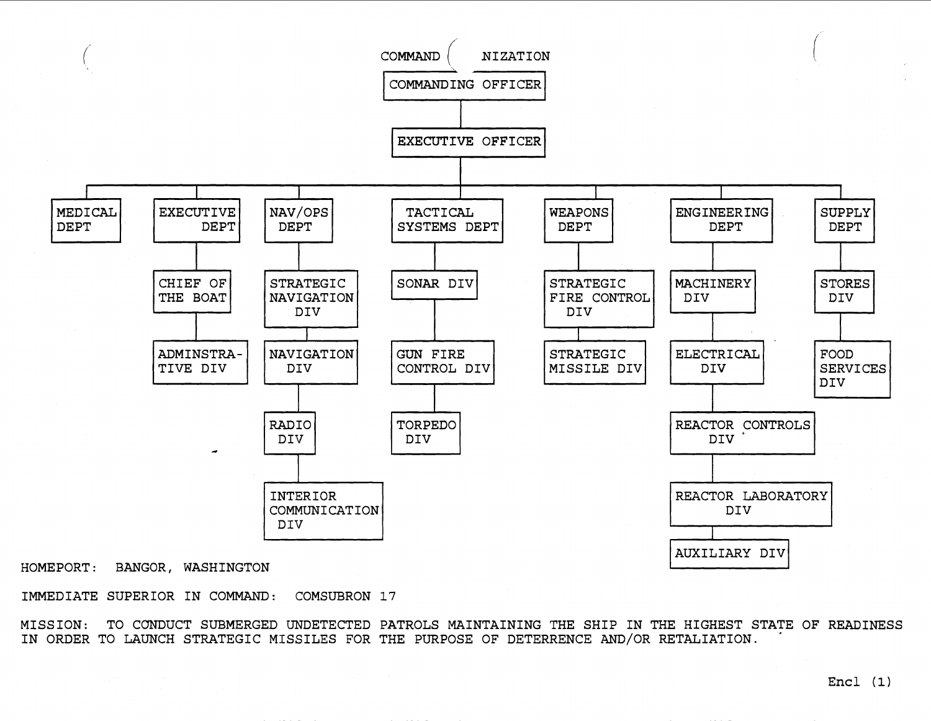

HOMEPORT: BANGOR, WASHINGTON

IMMEDIATE SUPERIOR IN COMMAND: COMSUBRON 17

MISSION: TO CONDUCT SUBMERGED UNDETECTED PATROLS MAINTAINING THE SHIP IN THE HIGHEST STATE OF READINESS IN ORDER TO LAUNCH STRATEGIC MISSILES FOR THE PURPOSE OF DETERRENCE AND/OR RETALIATION.